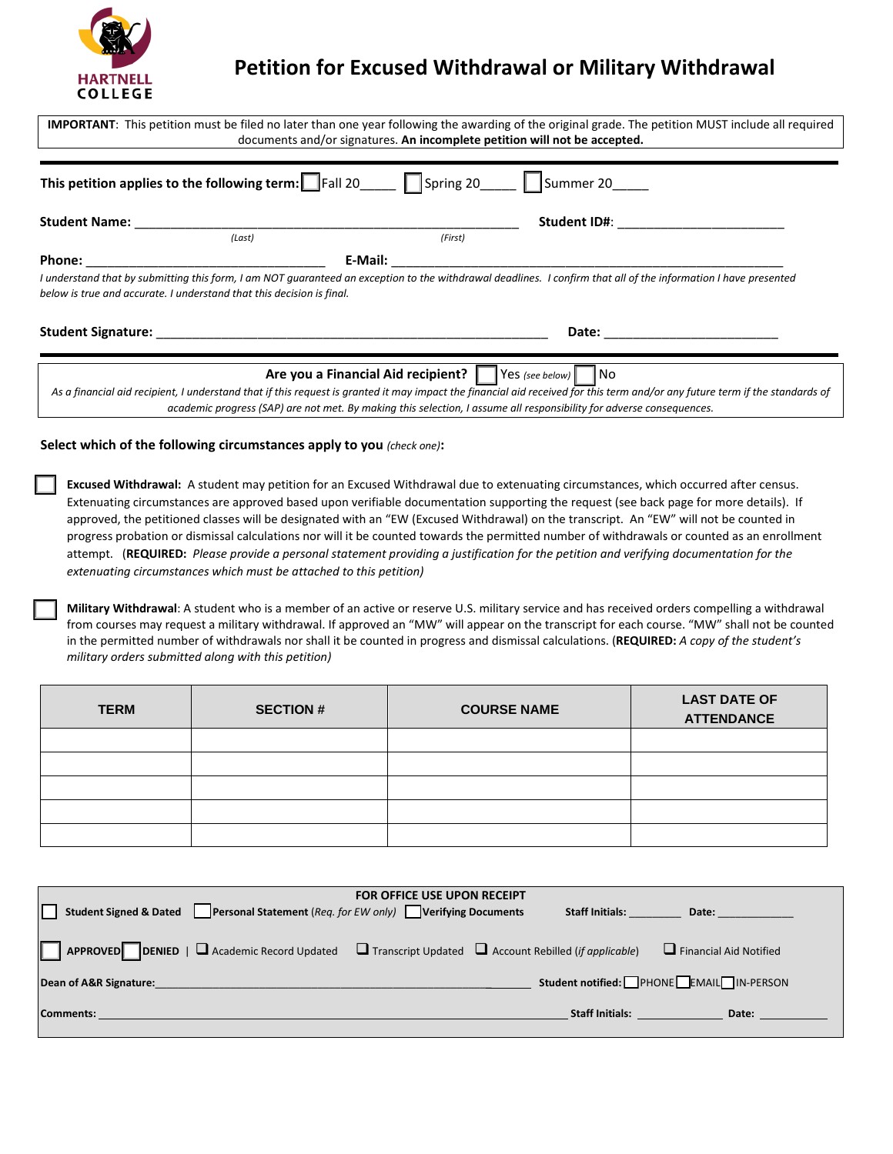

# **Petition for Excused Withdrawal or Military Withdrawal**

| IMPORTANT: This petition must be filed no later than one year following the awarding of the original grade. The petition MUST include all required<br>documents and/or signatures. An incomplete petition will not be accepted.<br><b>This petition applies to the following term:</b> $\Box$ Fall 20 $\Box$ $\Box$ Spring 20 $\Box$ Summer 20 |                                                                                                                                             |                                                                                                                                                                                                                                                                                                                                                                                                                                                                                                                                                                                                                                                                                                                  |                                          |  |  |
|------------------------------------------------------------------------------------------------------------------------------------------------------------------------------------------------------------------------------------------------------------------------------------------------------------------------------------------------|---------------------------------------------------------------------------------------------------------------------------------------------|------------------------------------------------------------------------------------------------------------------------------------------------------------------------------------------------------------------------------------------------------------------------------------------------------------------------------------------------------------------------------------------------------------------------------------------------------------------------------------------------------------------------------------------------------------------------------------------------------------------------------------------------------------------------------------------------------------------|------------------------------------------|--|--|
|                                                                                                                                                                                                                                                                                                                                                |                                                                                                                                             |                                                                                                                                                                                                                                                                                                                                                                                                                                                                                                                                                                                                                                                                                                                  |                                          |  |  |
| Phone:                                                                                                                                                                                                                                                                                                                                         |                                                                                                                                             | E-Mail:                                                                                                                                                                                                                                                                                                                                                                                                                                                                                                                                                                                                                                                                                                          |                                          |  |  |
| below is true and accurate. I understand that this decision is final.                                                                                                                                                                                                                                                                          |                                                                                                                                             | I understand that by submitting this form, I am NOT quaranteed an exception to the withdrawal deadlines. I confirm that all of the information I have presented                                                                                                                                                                                                                                                                                                                                                                                                                                                                                                                                                  |                                          |  |  |
| Date: ___________________________                                                                                                                                                                                                                                                                                                              |                                                                                                                                             |                                                                                                                                                                                                                                                                                                                                                                                                                                                                                                                                                                                                                                                                                                                  |                                          |  |  |
|                                                                                                                                                                                                                                                                                                                                                | Select which of the following circumstances apply to you (check one):<br>extenuating circumstances which must be attached to this petition) | Excused Withdrawal: A student may petition for an Excused Withdrawal due to extenuating circumstances, which occurred after census.<br>Extenuating circumstances are approved based upon verifiable documentation supporting the request (see back page for more details). If<br>approved, the petitioned classes will be designated with an "EW (Excused Withdrawal) on the transcript. An "EW" will not be counted in<br>progress probation or dismissal calculations nor will it be counted towards the permitted number of withdrawals or counted as an enrollment<br>attempt. (REQUIRED: Please provide a personal statement providing a justification for the petition and verifying documentation for the |                                          |  |  |
| military orders submitted along with this petition)                                                                                                                                                                                                                                                                                            |                                                                                                                                             | Military Withdrawal: A student who is a member of an active or reserve U.S. military service and has received orders compelling a withdrawal<br>from courses may request a military withdrawal. If approved an "MW" will appear on the transcript for each course. "MW" shall not be counted<br>in the permitted number of withdrawals nor shall it be counted in progress and dismissal calculations. (REQUIRED: A copy of the student's                                                                                                                                                                                                                                                                        |                                          |  |  |
| <b>TERM</b>                                                                                                                                                                                                                                                                                                                                    | <b>SECTION #</b>                                                                                                                            | <b>COURSE NAME</b>                                                                                                                                                                                                                                                                                                                                                                                                                                                                                                                                                                                                                                                                                               | <b>LAST DATE OF</b><br><b>ATTENDANCE</b> |  |  |
|                                                                                                                                                                                                                                                                                                                                                |                                                                                                                                             |                                                                                                                                                                                                                                                                                                                                                                                                                                                                                                                                                                                                                                                                                                                  |                                          |  |  |
|                                                                                                                                                                                                                                                                                                                                                |                                                                                                                                             |                                                                                                                                                                                                                                                                                                                                                                                                                                                                                                                                                                                                                                                                                                                  |                                          |  |  |
|                                                                                                                                                                                                                                                                                                                                                |                                                                                                                                             |                                                                                                                                                                                                                                                                                                                                                                                                                                                                                                                                                                                                                                                                                                                  |                                          |  |  |

| <b>FOR OFFICE USE UPON RECEIPT</b>                                                                                        |  |                        |                                         |  |  |  |
|---------------------------------------------------------------------------------------------------------------------------|--|------------------------|-----------------------------------------|--|--|--|
| Student Signed & Dated Personal Statement (Req. for EW only) Verifying Documents                                          |  | <b>Staff Initials:</b> | Date:                                   |  |  |  |
| <b>APPROVED</b> DENIED   $\Box$ Academic Record Updated $\Box$ Transcript Updated $\Box$ Account Rebilled (if applicable) |  |                        | $\Box$ Financial Aid Notified           |  |  |  |
| Dean of A&R Signature:                                                                                                    |  |                        | Student notified: PHONE EMAIL IN-PERSON |  |  |  |
| <b>Comments:</b>                                                                                                          |  | <b>Staff Initials:</b> | Date:                                   |  |  |  |